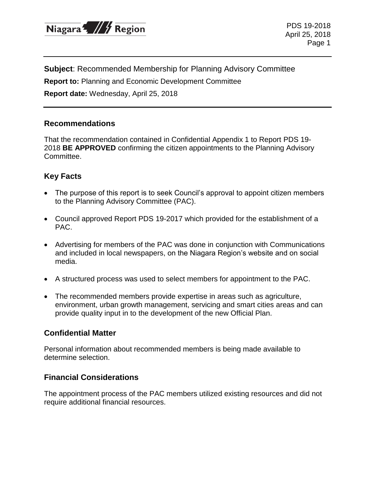

PDS 19-2018 April 25, 2018 Page 1

**Subject**: Recommended Membership for Planning Advisory Committee

**Report to:** Planning and Economic Development Committee

**Report date:** Wednesday, April 25, 2018

#### **Recommendations**

That the recommendation contained in Confidential Appendix 1 to Report PDS 19- 2018 **BE APPROVED** confirming the citizen appointments to the Planning Advisory Committee.

## **Key Facts**

- The purpose of this report is to seek Council's approval to appoint citizen members to the Planning Advisory Committee (PAC).
- Council approved Report PDS 19-2017 which provided for the establishment of a PAC.
- Advertising for members of the PAC was done in conjunction with Communications and included in local newspapers, on the Niagara Region's website and on social media.
- A structured process was used to select members for appointment to the PAC.
- The recommended members provide expertise in areas such as agriculture, environment, urban growth management, servicing and smart cities areas and can provide quality input in to the development of the new Official Plan.

### **Confidential Matter**

Personal information about recommended members is being made available to determine selection.

### **Financial Considerations**

The appointment process of the PAC members utilized existing resources and did not require additional financial resources.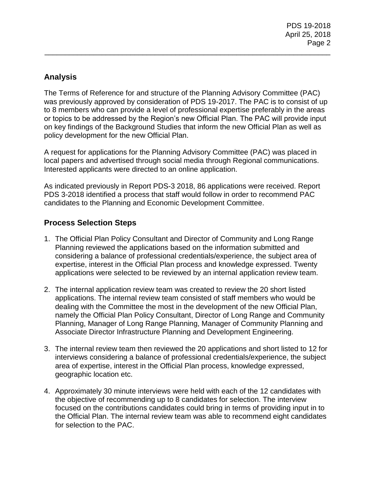# **Analysis**

The Terms of Reference for and structure of the Planning Advisory Committee (PAC) was previously approved by consideration of PDS 19-2017. The PAC is to consist of up to 8 members who can provide a level of professional expertise preferably in the areas or topics to be addressed by the Region's new Official Plan. The PAC will provide input on key findings of the Background Studies that inform the new Official Plan as well as policy development for the new Official Plan.

\_\_\_\_\_\_\_\_\_\_\_\_\_\_\_\_\_\_\_\_\_\_\_\_\_\_\_\_\_\_\_\_\_\_\_\_\_\_\_\_\_\_\_\_\_\_\_\_\_\_\_\_\_\_\_\_\_\_\_\_\_\_\_\_\_\_\_\_\_\_

A request for applications for the Planning Advisory Committee (PAC) was placed in local papers and advertised through social media through Regional communications. Interested applicants were directed to an online application.

As indicated previously in Report PDS-3 2018, 86 applications were received. Report PDS 3-2018 identified a process that staff would follow in order to recommend PAC candidates to the Planning and Economic Development Committee.

# **Process Selection Steps**

- 1. The Official Plan Policy Consultant and Director of Community and Long Range Planning reviewed the applications based on the information submitted and considering a balance of professional credentials/experience, the subject area of expertise, interest in the Official Plan process and knowledge expressed. Twenty applications were selected to be reviewed by an internal application review team.
- 2. The internal application review team was created to review the 20 short listed applications. The internal review team consisted of staff members who would be dealing with the Committee the most in the development of the new Official Plan, namely the Official Plan Policy Consultant, Director of Long Range and Community Planning, Manager of Long Range Planning, Manager of Community Planning and Associate Director Infrastructure Planning and Development Engineering.
- 3. The internal review team then reviewed the 20 applications and short listed to 12 for interviews considering a balance of professional credentials/experience, the subject area of expertise, interest in the Official Plan process, knowledge expressed, geographic location etc.
- 4. Approximately 30 minute interviews were held with each of the 12 candidates with the objective of recommending up to 8 candidates for selection. The interview focused on the contributions candidates could bring in terms of providing input in to the Official Plan. The internal review team was able to recommend eight candidates for selection to the PAC.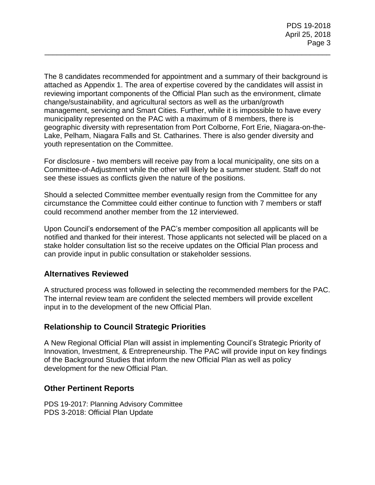The 8 candidates recommended for appointment and a summary of their background is attached as Appendix 1. The area of expertise covered by the candidates will assist in reviewing important components of the Official Plan such as the environment, climate change/sustainability, and agricultural sectors as well as the urban/growth management, servicing and Smart Cities. Further, while it is impossible to have every municipality represented on the PAC with a maximum of 8 members, there is geographic diversity with representation from Port Colborne, Fort Erie, Niagara-on-the-Lake, Pelham, Niagara Falls and St. Catharines. There is also gender diversity and youth representation on the Committee.

\_\_\_\_\_\_\_\_\_\_\_\_\_\_\_\_\_\_\_\_\_\_\_\_\_\_\_\_\_\_\_\_\_\_\_\_\_\_\_\_\_\_\_\_\_\_\_\_\_\_\_\_\_\_\_\_\_\_\_\_\_\_\_\_\_\_\_\_\_\_

For disclosure - two members will receive pay from a local municipality, one sits on a Committee-of-Adjustment while the other will likely be a summer student. Staff do not see these issues as conflicts given the nature of the positions.

Should a selected Committee member eventually resign from the Committee for any circumstance the Committee could either continue to function with 7 members or staff could recommend another member from the 12 interviewed.

Upon Council's endorsement of the PAC's member composition all applicants will be notified and thanked for their interest. Those applicants not selected will be placed on a stake holder consultation list so the receive updates on the Official Plan process and can provide input in public consultation or stakeholder sessions.

### **Alternatives Reviewed**

A structured process was followed in selecting the recommended members for the PAC. The internal review team are confident the selected members will provide excellent input in to the development of the new Official Plan.

### **Relationship to Council Strategic Priorities**

A New Regional Official Plan will assist in implementing Council's Strategic Priority of Innovation, Investment, & Entrepreneurship. The PAC will provide input on key findings of the Background Studies that inform the new Official Plan as well as policy development for the new Official Plan.

### **Other Pertinent Reports**

PDS 19-2017: Planning Advisory Committee PDS 3-2018: Official Plan Update